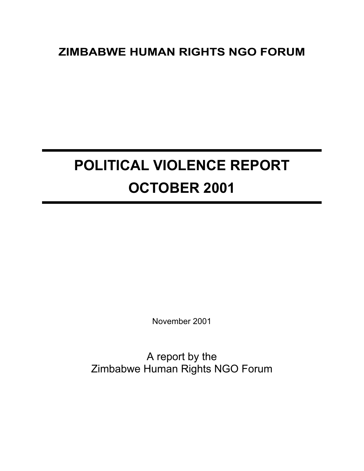# **ZIMBABWE HUMAN RIGHTS NGO FORUM**

# **POLITICAL VIOLENCE REPORT OCTOBER 2001**

November 2001

A report by the Zimbabwe Human Rights NGO Forum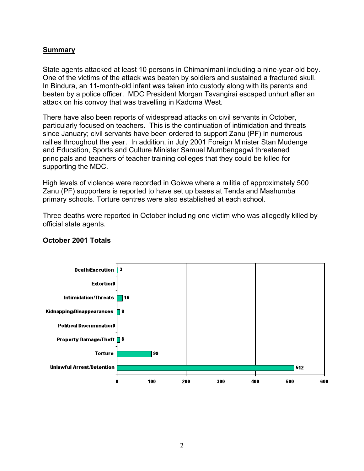# **Summary**

State agents attacked at least 10 persons in Chimanimani including a nine-year-old boy. One of the victims of the attack was beaten by soldiers and sustained a fractured skull. In Bindura, an 11-month-old infant was taken into custody along with its parents and beaten by a police officer. MDC President Morgan Tsvangirai escaped unhurt after an attack on his convoy that was travelling in Kadoma West.

There have also been reports of widespread attacks on civil servants in October, particularly focused on teachers. This is the continuation of intimidation and threats since January; civil servants have been ordered to support Zanu (PF) in numerous rallies throughout the year. In addition, in July 2001 Foreign Minister Stan Mudenge and Education, Sports and Culture Minister Samuel Mumbengegwi threatened principals and teachers of teacher training colleges that they could be killed for supporting the MDC.

High levels of violence were recorded in Gokwe where a militia of approximately 500 Zanu (PF) supporters is reported to have set up bases at Tenda and Mashumba primary schools. Torture centres were also established at each school.

Three deaths were reported in October including one victim who was allegedly killed by official state agents.



# **October 2001 Totals**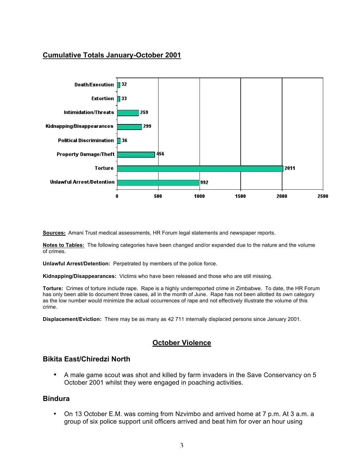# **Cumulative Totals January-October 2001**



**Sources:** Amani Trust medical assessments, HR Forum legal statements and newspaper reports.

**Notes to Tables:** The following categories have been changed and/or expanded due to the nature and the volume of crimes.

**Unlawful Arrest/Detention:** Perpetrated by members of the police force.

**Kidnapping/Disappearances:** Victims who have been released and those who are still missing.

**Torture:** Crimes of torture include rape. Rape is a highly underreported crime in Zimbabwe. To date, the HR Forum has only been able to document three cases, all in the month of June. Rape has not been allotted its own category as the low number would minimize the actual occurrences of rape and not effectively illustrate the volume of this crime.

**Displacement/Eviction:** There may be as many as 42 711 internally displaced persons since January 2001.

# **October Violence**

#### **Bikita East/Chiredzi North**

• A male game scout was shot and killed by farm invaders in the Save Conservancy on 5 October 2001 whilst they were engaged in poaching activities.

#### **Bindura**

• On 13 October E.M. was coming from Nzvimbo and arrived home at 7 p.m. At 3 a.m. a group of six police support unit officers arrived and beat him for over an hour using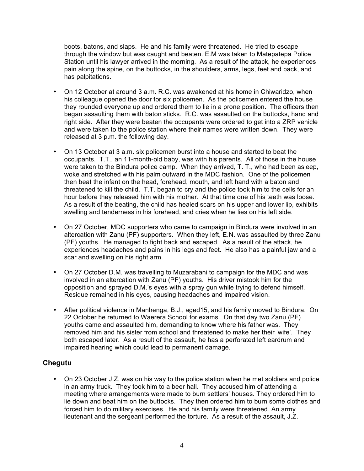boots, batons, and slaps. He and his family were threatened. He tried to escape through the window but was caught and beaten. E.M was taken to Matepatepa Police Station until his lawyer arrived in the morning. As a result of the attack, he experiences pain along the spine, on the buttocks, in the shoulders, arms, legs, feet and back, and has palpitations.

- On 12 October at around 3 a.m. R.C. was awakened at his home in Chiwaridzo, when his colleague opened the door for six policemen. As the policemen entered the house they rounded everyone up and ordered them to lie in a prone position. The officers then began assaulting them with baton sticks. R.C. was assaulted on the buttocks, hand and right side. After they were beaten the occupants were ordered to get into a ZRP vehicle and were taken to the police station where their names were written down. They were released at 3 p.m. the following day.
- On 13 October at 3 a.m. six policemen burst into a house and started to beat the occupants. T.T., an 11-month-old baby, was with his parents. All of those in the house were taken to the Bindura police camp. When they arrived, T. T., who had been asleep, woke and stretched with his palm outward in the MDC fashion. One of the policemen then beat the infant on the head, forehead, mouth, and left hand with a baton and threatened to kill the child. T.T. began to cry and the police took him to the cells for an hour before they released him with his mother. At that time one of his teeth was loose. As a result of the beating, the child has healed scars on his upper and lower lip, exhibits swelling and tenderness in his forehead, and cries when he lies on his left side.
- On 27 October, MDC supporters who came to campaign in Bindura were involved in an altercation with Zanu (PF) supporters. When they left, E.N. was assaulted by three Zanu (PF) youths. He managed to fight back and escaped. As a result of the attack, he experiences headaches and pains in his legs and feet. He also has a painful jaw and a scar and swelling on his right arm.
- On 27 October D.M. was travelling to Muzarabani to campaign for the MDC and was involved in an altercation with Zanu (PF) youths. His driver mistook him for the opposition and sprayed D.M.'s eyes with a spray gun while trying to defend himself. Residue remained in his eyes, causing headaches and impaired vision.
- After political violence in Manhenga, B.J., aged15, and his family moved to Bindura. On 22 October he returned to Waerera School for exams. On that day two Zanu (PF) youths came and assaulted him, demanding to know where his father was. They removed him and his sister from school and threatened to make her their 'wife'. They both escaped later. As a result of the assault, he has a perforated left eardrum and impaired hearing which could lead to permanent damage.

# **Chegutu**

• On 23 October J.Z. was on his way to the police station when he met soldiers and police in an army truck. They took him to a beer hall. They accused him of attending a meeting where arrangements were made to burn settlers' houses. They ordered him to lie down and beat him on the buttocks. They then ordered him to burn some clothes and forced him to do military exercises. He and his family were threatened. An army lieutenant and the sergeant performed the torture. As a result of the assault, J.Z.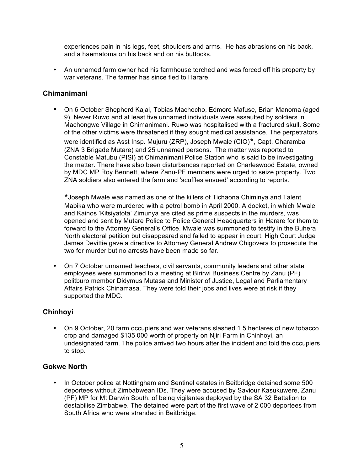experiences pain in his legs, feet, shoulders and arms. He has abrasions on his back, and a haematoma on his back and on his buttocks.

• An unnamed farm owner had his farmhouse torched and was forced off his property by war veterans. The farmer has since fled to Harare.

# **Chimanimani**

• On 6 October Shepherd Kajai, Tobias Machocho, Edmore Mafuse, Brian Manoma (aged 9), Never Ruwo and at least five unnamed individuals were assaulted by soldiers in Machongwe Village in Chimanimani. Ruwo was hospitalised with a fractured skull. Some of the other victims were threatened if they sought medical assistance. The perpetrators

were identified as Asst Insp. Mujuru (ZRP), Joseph Mwale (CIO)\*, Capt. Charamba (ZNA 3 Brigade Mutare) and 25 unnamed persons. The matter was reported to Constable Matubu (PISI) at Chimanimani Police Station who is said to be investigating the matter. There have also been disturbances reported on Charleswood Estate, owned by MDC MP Roy Bennett, where Zanu-PF members were urged to seize property. Two ZNA soldiers also entered the farm and 'scuffles ensued' according to reports.

\*Joseph Mwale was named as one of the killers of Tichaona Chiminya and Talent Mabika who were murdered with a petrol bomb in April 2000. A docket, in which Mwale and Kainos 'Kitsiyatota' Zimunya are cited as prime suspects in the murders, was opened and sent by Mutare Police to Police General Headquarters in Harare for them to forward to the Attorney General's Office. Mwale was summoned to testify in the Buhera North electoral petition but disappeared and failed to appear in court. High Court Judge James Devittie gave a directive to Attorney General Andrew Chigovera to prosecute the two for murder but no arrests have been made so far.

• On 7 October unnamed teachers, civil servants, community leaders and other state employees were summoned to a meeting at Birirwi Business Centre by Zanu (PF) politburo member Didymus Mutasa and Minister of Justice, Legal and Parliamentary Affairs Patrick Chinamasa. They were told their jobs and lives were at risk if they supported the MDC.

# **Chinhoyi**

• On 9 October, 20 farm occupiers and war veterans slashed 1.5 hectares of new tobacco crop and damaged \$135 000 worth of property on Njiri Farm in Chinhoyi, an undesignated farm. The police arrived two hours after the incident and told the occupiers to stop.

# **Gokwe North**

• In October police at Nottingham and Sentinel estates in Beitbridge detained some 500 deportees without Zimbabwean IDs. They were accused by Saviour Kasukuwere, Zanu (PF) MP for Mt Darwin South, of being vigilantes deployed by the SA 32 Battalion to destabilise Zimbabwe. The detained were part of the first wave of 2 000 deportees from South Africa who were stranded in Beitbridge.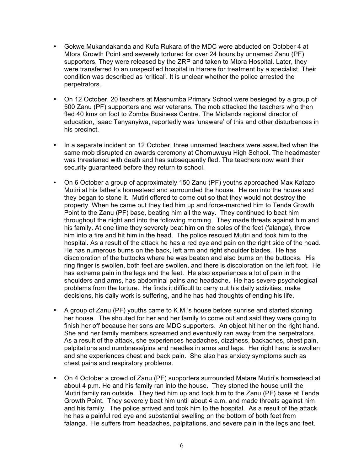- Gokwe Mukandakanda and Kufa Rukara of the MDC were abducted on October 4 at Mtora Growth Point and severely tortured for over 24 hours by unnamed Zanu (PF) supporters. They were released by the ZRP and taken to Mtora Hospital. Later, they were transferred to an unspecified hospital in Harare for treatment by a specialist. Their condition was described as 'critical'. It is unclear whether the police arrested the perpetrators.
- On 12 October, 20 teachers at Mashumba Primary School were besieged by a group of 500 Zanu (PF) supporters and war veterans. The mob attacked the teachers who then fled 40 kms on foot to Zomba Business Centre. The Midlands regional director of education, Isaac Tanyanyiwa, reportedly was 'unaware' of this and other disturbances in his precinct.
- In a separate incident on 12 October, three unnamed teachers were assaulted when the same mob disrupted an awards ceremony at Chomuwuyu High School. The headmaster was threatened with death and has subsequently fled. The teachers now want their security quaranteed before they return to school.
- On 6 October a group of approximately 150 Zanu (PF) youths approached Max Katazo Mutiri at his father's homestead and surrounded the house. He ran into the house and they began to stone it. Mutiri offered to come out so that they would not destroy the property. When he came out they tied him up and force-marched him to Tenda Growth Point to the Zanu (PF) base, beating him all the way. They continued to beat him throughout the night and into the following morning. They made threats against him and his family. At one time they severely beat him on the soles of the feet (falanga), threw him into a fire and hit him in the head. The police rescued Mutiri and took him to the hospital. As a result of the attack he has a red eye and pain on the right side of the head. He has numerous burns on the back, left arm and right shoulder blades. He has discoloration of the buttocks where he was beaten and also burns on the buttocks. His ring finger is swollen, both feet are swollen, and there is discoloration on the left foot. He has extreme pain in the legs and the feet. He also experiences a lot of pain in the shoulders and arms, has abdominal pains and headache. He has severe psychological problems from the torture. He finds it difficult to carry out his daily activities, make decisions, his daily work is suffering, and he has had thoughts of ending his life.
- A group of Zanu (PF) youths came to K.M.'s house before sunrise and started stoning her house. The shouted for her and her family to come out and said they were going to finish her off because her sons are MDC supporters. An object hit her on the right hand. She and her family members screamed and eventually ran away from the perpetrators. As a result of the attack, she experiences headaches, dizziness, backaches, chest pain, palpitations and numbness/pins and needles in arms and legs. Her right hand is swollen and she experiences chest and back pain. She also has anxiety symptoms such as chest pains and respiratory problems.
- On 4 October a crowd of Zanu (PF) supporters surrounded Matare Mutiri's homestead at about 4 p.m. He and his family ran into the house. They stoned the house until the Mutiri family ran outside. They tied him up and took him to the Zanu (PF) base at Tenda Growth Point. They severely beat him until about 4 a.m. and made threats against him and his family. The police arrived and took him to the hospital. As a result of the attack he has a painful red eye and substantial swelling on the bottom of both feet from falanga. He suffers from headaches, palpitations, and severe pain in the legs and feet.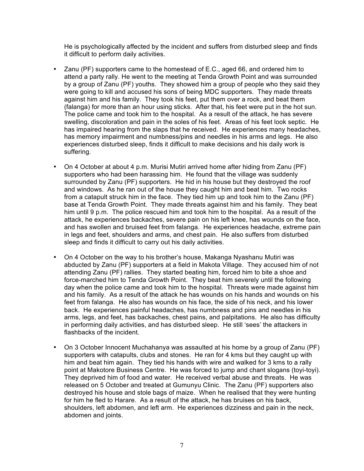He is psychologically affected by the incident and suffers from disturbed sleep and finds it difficult to perform daily activities.

- Zanu (PF) supporters came to the homestead of E.C., aged 66, and ordered him to attend a party rally. He went to the meeting at Tenda Growth Point and was surrounded by a group of Zanu (PF) youths. They showed him a group of people who they said they were going to kill and accused his sons of being MDC supporters. They made threats against him and his family. They took his feet, put them over a rock, and beat them (falanga) for more than an hour using sticks. After that, his feet were put in the hot sun. The police came and took him to the hospital. As a result of the attack, he has severe swelling, discoloration and pain in the soles of his feet. Areas of his feet look septic. He has impaired hearing from the slaps that he received. He experiences many headaches, has memory impairment and numbness/pins and needles in his arms and legs. He also experiences disturbed sleep, finds it difficult to make decisions and his daily work is suffering.
- On 4 October at about 4 p.m. Murisi Mutiri arrived home after hiding from Zanu (PF) supporters who had been harassing him. He found that the village was suddenly surrounded by Zanu (PF) supporters. He hid in his house but they destroyed the roof and windows. As he ran out of the house they caught him and beat him. Two rocks from a catapult struck him in the face. They tied him up and took him to the Zanu (PF) base at Tenda Growth Point. They made threats against him and his family. They beat him until 9 p.m. The police rescued him and took him to the hospital. As a result of the attack, he experiences backaches, severe pain on his left knee, has wounds on the face, and has swollen and bruised feet from falanga. He experiences headache, extreme pain in legs and feet, shoulders and arms, and chest pain. He also suffers from disturbed sleep and finds it difficult to carry out his daily activities.
- On 4 October on the way to his brother's house, Makanga Nyashanu Mutiri was abducted by Zanu (PF) supporters at a field in Makota Village. They accused him of not attending Zanu (PF) rallies. They started beating him, forced him to bite a shoe and force-marched him to Tenda Growth Point. They beat him severely until the following day when the police came and took him to the hospital. Threats were made against him and his family. As a result of the attack he has wounds on his hands and wounds on his feet from falanga. He also has wounds on his face, the side of his neck, and his lower back. He experiences painful headaches, has numbness and pins and needles in his arms, legs, and feet, has backaches, chest pains, and palpitations. He also has difficulty in performing daily activities, and has disturbed sleep. He still 'sees' the attackers in flashbacks of the incident.
- On 3 October Innocent Muchahanya was assaulted at his home by a group of Zanu (PF) supporters with catapults, clubs and stones. He ran for 4 kms but they caught up with him and beat him again. They tied his hands with wire and walked for 3 kms to a rally point at Makotore Business Centre. He was forced to jump and chant slogans (toyi-toyi). They deprived him of food and water. He received verbal abuse and threats. He was released on 5 October and treated at Gumunyu Clinic. The Zanu (PF) supporters also destroyed his house and stole bags of maize. When he realised that they were hunting for him he fled to Harare. As a result of the attack, he has bruises on his back, shoulders, left abdomen, and left arm. He experiences dizziness and pain in the neck, abdomen and joints.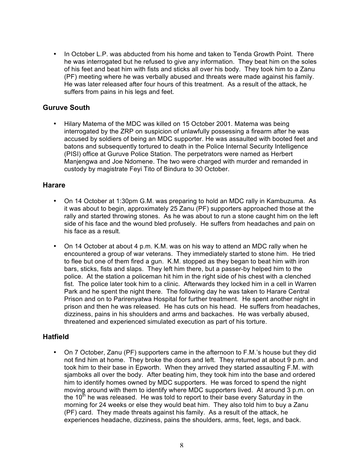• In October L.P. was abducted from his home and taken to Tenda Growth Point. There he was interrogated but he refused to give any information. They beat him on the soles of his feet and beat him with fists and sticks all over his body. They took him to a Zanu (PF) meeting where he was verbally abused and threats were made against his family. He was later released after four hours of this treatment. As a result of the attack, he suffers from pains in his legs and feet.

# **Guruve South**

• Hilary Matema of the MDC was killed on 15 October 2001. Matema was being interrogated by the ZRP on suspicion of unlawfully possessing a firearm after he was accused by soldiers of being an MDC supporter. He was assaulted with booted feet and batons and subsequently tortured to death in the Police Internal Security Intelligence (PISI) office at Guruve Police Station. The perpetrators were named as Herbert Manjengwa and Joe Ndomene. The two were charged with murder and remanded in custody by magistrate Feyi Tito of Bindura to 30 October.

#### **Harare**

- On 14 October at 1:30pm G.M. was preparing to hold an MDC rally in Kambuzuma. As it was about to begin, approximately 25 Zanu (PF) supporters approached those at the rally and started throwing stones. As he was about to run a stone caught him on the left side of his face and the wound bled profusely. He suffers from headaches and pain on his face as a result.
- On 14 October at about 4 p.m. K.M. was on his way to attend an MDC rally when he encountered a group of war veterans. They immediately started to stone him. He tried to flee but one of them fired a gun. K.M. stopped as they began to beat him with iron bars, sticks, fists and slaps. They left him there, but a passer-by helped him to the police. At the station a policeman hit him in the right side of his chest with a clenched fist. The police later took him to a clinic. Afterwards they locked him in a cell in Warren Park and he spent the night there. The following day he was taken to Harare Central Prison and on to Parirenyatwa Hospital for further treatment. He spent another night in prison and then he was released. He has cuts on his head. He suffers from headaches, dizziness, pains in his shoulders and arms and backaches. He was verbally abused, threatened and experienced simulated execution as part of his torture.

# **Hatfield**

• On 7 October, Zanu (PF) supporters came in the afternoon to F.M.'s house but they did not find him at home. They broke the doors and left. They returned at about 9 p.m. and took him to their base in Epworth. When they arrived they started assaulting F.M. with sjamboks all over the body. After beating him, they took him into the base and ordered him to identify homes owned by MDC supporters. He was forced to spend the night moving around with them to identify where MDC supporters lived. At around 3 p.m. on the 10<sup>th</sup> he was released. He was told to report to their base every Saturday in the morning for 24 weeks or else they would beat him. They also told him to buy a Zanu (PF) card. They made threats against his family. As a result of the attack, he experiences headache, dizziness, pains the shoulders, arms, feet, legs, and back.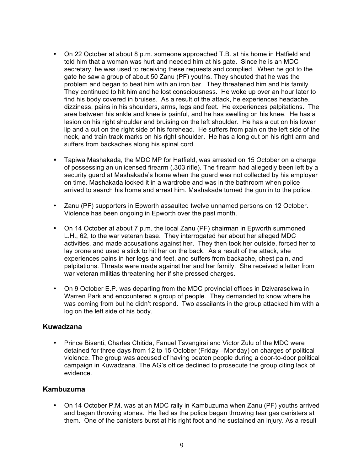- On 22 October at about 8 p.m. someone approached T.B. at his home in Hatfield and told him that a woman was hurt and needed him at his gate. Since he is an MDC secretary, he was used to receiving these requests and complied. When he got to the gate he saw a group of about 50 Zanu (PF) youths. They shouted that he was the problem and began to beat him with an iron bar. They threatened him and his family. They continued to hit him and he lost consciousness. He woke up over an hour later to find his body covered in bruises. As a result of the attack, he experiences headache, dizziness, pains in his shoulders, arms, legs and feet. He experiences palpitations. The area between his ankle and knee is painful, and he has swelling on his knee. He has a lesion on his right shoulder and bruising on the left shoulder. He has a cut on his lower lip and a cut on the right side of his forehead. He suffers from pain on the left side of the neck, and train track marks on his right shoulder. He has a long cut on his right arm and suffers from backaches along his spinal cord.
- Tapiwa Mashakada, the MDC MP for Hatfield, was arrested on 15 October on a charge of possessing an unlicensed firearm (.303 rifle). The firearm had allegedly been left by a security guard at Mashakada's home when the guard was not collected by his employer on time. Mashakada locked it in a wardrobe and was in the bathroom when police arrived to search his home and arrest him. Mashakada turned the gun in to the police.
- Zanu (PF) supporters in Epworth assaulted twelve unnamed persons on 12 October. Violence has been ongoing in Epworth over the past month.
- On 14 October at about 7 p.m. the local Zanu (PF) chairman in Epworth summoned L.H., 62, to the war veteran base. They interrogated her about her alleged MDC activities, and made accusations against her. They then took her outside, forced her to lay prone and used a stick to hit her on the back. As a result of the attack, she experiences pains in her legs and feet, and suffers from backache, chest pain, and palpitations. Threats were made against her and her family. She received a letter from war veteran militias threatening her if she pressed charges.
- On 9 October E.P. was departing from the MDC provincial offices in Dzivarasekwa in Warren Park and encountered a group of people. They demanded to know where he was coming from but he didn't respond. Two assailants in the group attacked him with a log on the left side of his body.

#### **Kuwadzana**

• Prince Bisenti, Charles Chitida, Fanuel Tsvangirai and Victor Zulu of the MDC were detained for three days from 12 to 15 October (Friday –Monday) on charges of political violence. The group was accused of having beaten people during a door-to-door political campaign in Kuwadzana. The AG's office declined to prosecute the group citing lack of evidence.

#### **Kambuzuma**

• On 14 October P.M. was at an MDC rally in Kambuzuma when Zanu (PF) youths arrived and began throwing stones. He fled as the police began throwing tear gas canisters at them. One of the canisters burst at his right foot and he sustained an injury. As a result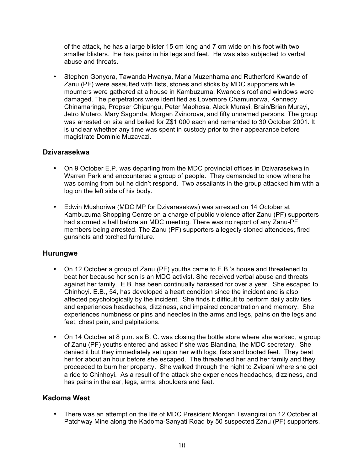of the attack, he has a large blister 15 cm long and 7 cm wide on his foot with two smaller blisters. He has pains in his legs and feet. He was also subjected to verbal abuse and threats.

• Stephen Gonyora, Tawanda Hwanya, Maria Muzenhama and Rutherford Kwande of Zanu (PF) were assaulted with fists, stones and sticks by MDC supporters while mourners were gathered at a house in Kambuzuma. Kwande's roof and windows were damaged. The perpetrators were identified as Lovemore Chamunorwa, Kennedy Chinamaringa, Propser Chipungu, Peter Maphosa, Aleck Murayi, Brain/Brian Murayi, Jetro Mutero, Mary Sagonda, Morgan Zvinorova, and fifty unnamed persons. The group was arrested on site and bailed for Z\$1 000 each and remanded to 30 October 2001. It is unclear whether any time was spent in custody prior to their appearance before magistrate Dominic Muzavazi.

# **Dzivarasekwa**

- On 9 October E.P. was departing from the MDC provincial offices in Dzivarasekwa in Warren Park and encountered a group of people. They demanded to know where he was coming from but he didn't respond. Two assailants in the group attacked him with a log on the left side of his body.
- Edwin Mushoriwa (MDC MP for Dzivarasekwa) was arrested on 14 October at Kambuzuma Shopping Centre on a charge of public violence after Zanu (PF) supporters had stormed a hall before an MDC meeting. There was no report of any Zanu-PF members being arrested. The Zanu (PF) supporters allegedly stoned attendees, fired gunshots and torched furniture.

#### **Hurungwe**

- On 12 October a group of Zanu (PF) youths came to E.B.'s house and threatened to beat her because her son is an MDC activist. She received verbal abuse and threats against her family. E.B. has been continually harassed for over a year. She escaped to Chinhoyi. E.B., 54, has developed a heart condition since the incident and is also affected psychologically by the incident. She finds it difficult to perform daily activities and experiences headaches, dizziness, and impaired concentration and memory. She experiences numbness or pins and needles in the arms and legs, pains on the legs and feet, chest pain, and palpitations.
- On 14 October at 8 p.m. as B. C. was closing the bottle store where she worked, a group of Zanu (PF) youths entered and asked if she was Blandina, the MDC secretary. She denied it but they immediately set upon her with logs, fists and booted feet. They beat her for about an hour before she escaped. The threatened her and her family and they proceeded to burn her property. She walked through the night to Zvipani where she got a ride to Chinhoyi. As a result of the attack she experiences headaches, dizziness, and has pains in the ear, legs, arms, shoulders and feet.

# **Kadoma West**

• There was an attempt on the life of MDC President Morgan Tsvangirai on 12 October at Patchway Mine along the Kadoma-Sanyati Road by 50 suspected Zanu (PF) supporters.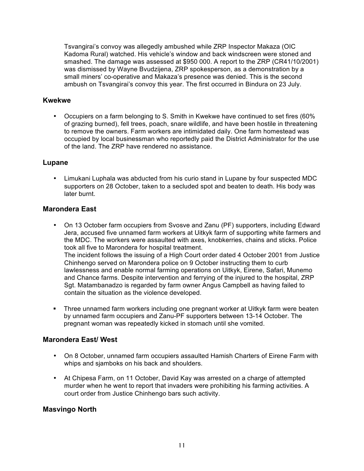Tsvangirai's convoy was allegedly ambushed while ZRP Inspector Makaza (OIC Kadoma Rural) watched. His vehicle's window and back windscreen were stoned and smashed. The damage was assessed at \$950 000. A report to the ZRP (CR41/10/2001) was dismissed by Wayne Bvudzijena, ZRP spokesperson, as a demonstration by a small miners' co-operative and Makaza's presence was denied. This is the second ambush on Tsvangirai's convoy this year. The first occurred in Bindura on 23 July.

#### **Kwekwe**

• Occupiers on a farm belonging to S. Smith in Kwekwe have continued to set fires (60% of grazing burned), fell trees, poach, snare wildlife, and have been hostile in threatening to remove the owners. Farm workers are intimidated daily. One farm homestead was occupied by local businessman who reportedly paid the District Administrator for the use of the land. The ZRP have rendered no assistance.

#### **Lupane**

• Limukani Luphala was abducted from his curio stand in Lupane by four suspected MDC supporters on 28 October, taken to a secluded spot and beaten to death. His body was later burnt.

#### **Marondera East**

- On 13 October farm occupiers from Svosve and Zanu (PF) supporters, including Edward Jera, accused five unnamed farm workers at Uitkyk farm of supporting white farmers and the MDC. The workers were assaulted with axes, knobkerries, chains and sticks. Police took all five to Marondera for hospital treatment. The incident follows the issuing of a High Court order dated 4 October 2001 from Justice Chinhengo served on Marondera police on 9 October instructing them to curb lawlessness and enable normal farming operations on Uitkyk, Eirene, Safari, Munemo and Chance farms. Despite intervention and ferrying of the injured to the hospital, ZRP Sgt. Matambanadzo is regarded by farm owner Angus Campbell as having failed to contain the situation as the violence developed.
- Three unnamed farm workers including one pregnant worker at Uitkyk farm were beaten by unnamed farm occupiers and Zanu-PF supporters between 13-14 October. The pregnant woman was repeatedly kicked in stomach until she vomited.

#### **Marondera East/ West**

- On 8 October, unnamed farm occupiers assaulted Hamish Charters of Eirene Farm with whips and sjamboks on his back and shoulders.
- At Chipesa Farm, on 11 October, David Kay was arrested on a charge of attempted murder when he went to report that invaders were prohibiting his farming activities. A court order from Justice Chinhengo bars such activity.

# **Masvingo North**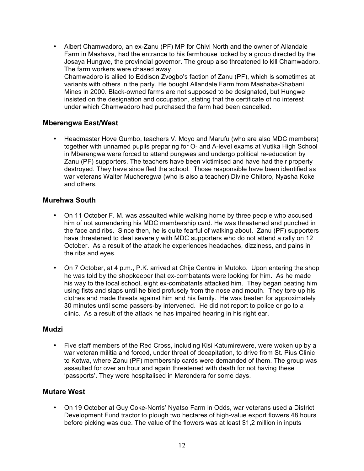• Albert Chamwadoro, an ex-Zanu (PF) MP for Chivi North and the owner of Allandale Farm in Mashava, had the entrance to his farmhouse locked by a group directed by the Josaya Hungwe, the provincial governor. The group also threatened to kill Chamwadoro. The farm workers were chased away. Chamwadoro is allied to Eddison Zvogbo's faction of Zanu (PF), which is sometimes at variants with others in the party. He bought Allandale Farm from Mashaba-Shabani Mines in 2000. Black-owned farms are not supposed to be designated, but Hungwe insisted on the designation and occupation, stating that the certificate of no interest under which Chamwadoro had purchased the farm had been cancelled.

# **Mberengwa East/West**

• Headmaster Hove Gumbo, teachers V. Moyo and Marufu (who are also MDC members) together with unnamed pupils preparing for O- and A-level exams at Vutika High School in Mberengwa were forced to attend pungwes and undergo political re-education by Zanu (PF) supporters. The teachers have been victimised and have had their property destroyed. They have since fled the school. Those responsible have been identified as war veterans Walter Mucheregwa (who is also a teacher) Divine Chitoro, Nyasha Koke and others.

#### **Murehwa South**

- On 11 October F. M. was assaulted while walking home by three people who accused him of not surrendering his MDC membership card. He was threatened and punched in the face and ribs. Since then, he is quite fearful of walking about. Zanu (PF) supporters have threatened to deal severely with MDC supporters who do not attend a rally on 12 October. As a result of the attack he experiences headaches, dizziness, and pains in the ribs and eyes.
- On 7 October, at 4 p.m., P.K. arrived at Chije Centre in Mutoko. Upon entering the shop he was told by the shopkeeper that ex-combatants were looking for him. As he made his way to the local school, eight ex-combatants attacked him. They began beating him using fists and slaps until he bled profusely from the nose and mouth. They tore up his clothes and made threats against him and his family. He was beaten for approximately 30 minutes until some passers-by intervened. He did not report to police or go to a clinic. As a result of the attack he has impaired hearing in his right ear.

#### **Mudzi**

• Five staff members of the Red Cross, including Kisi Katumirewere, were woken up by a war veteran militia and forced, under threat of decapitation, to drive from St. Pius Clinic to Kotwa, where Zanu (PF) membership cards were demanded of them. The group was assaulted for over an hour and again threatened with death for not having these 'passports'. They were hospitalised in Marondera for some days.

#### **Mutare West**

• On 19 October at Guy Coke-Norris' Nyatso Farm in Odds, war veterans used a District Development Fund tractor to plough two hectares of high-value export flowers 48 hours before picking was due. The value of the flowers was at least \$1,2 million in inputs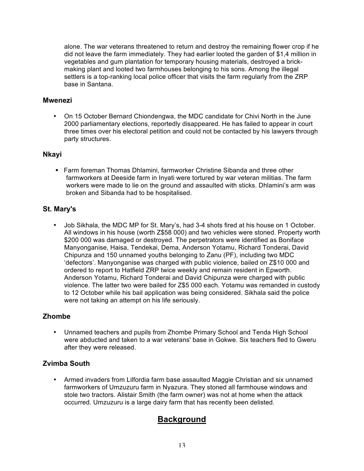alone. The war veterans threatened to return and destroy the remaining flower crop if he did not leave the farm immediately. They had earlier looted the garden of \$1,4 million in vegetables and gum plantation for temporary housing materials, destroyed a brickmaking plant and looted two farmhouses belonging to his sons. Among the illegal settlers is a top-ranking local police officer that visits the farm regularly from the ZRP base in Santana.

#### **Mwenezi**

• On 15 October Bernard Chiondengwa, the MDC candidate for Chivi North in the June 2000 parliamentary elections, reportedly disappeared. He has failed to appear in court three times over his electoral petition and could not be contacted by his lawyers through party structures.

#### **Nkayi**

**Farm foreman Thomas Dhlamini, farmworker Christine Sibanda and three other** farmworkers at Deeside farm in Inyati were tortured by war veteran militias. The farm workers were made to lie on the ground and assaulted with sticks. Dhlamini's arm was broken and Sibanda had to be hospitalised.

# **St. Mary's**

• Job Sikhala, the MDC MP for St. Mary's, had 3-4 shots fired at his house on 1 October. All windows in his house (worth Z\$58 000) and two vehicles were stoned. Property worth \$200 000 was damaged or destroyed. The perpetrators were identified as Boniface Manyonganise, Haisa, Tendekai, Dema, Anderson Yotamu, Richard Tonderai, David Chipunza and 150 unnamed youths belonging to Zanu (PF), including two MDC 'defectors'. Manyonganise was charged with public violence, bailed on Z\$10 000 and ordered to report to Hatfield ZRP twice weekly and remain resident in Epworth. Anderson Yotamu, Richard Tonderai and David Chipunza were charged with public violence. The latter two were bailed for Z\$5 000 each. Yotamu was remanded in custody to 12 October while his bail application was being considered. Sikhala said the police were not taking an attempt on his life seriously.

# **Zhombe**

• Unnamed teachers and pupils from Zhombe Primary School and Tenda High School were abducted and taken to a war veterans' base in Gokwe. Six teachers fled to Gweru after they were released.

# **Zvimba South**

• Armed invaders from Lilfordia farm base assaulted Maggie Christian and six unnamed farmworkers of Umzuzuru farm in Nyazura. They stoned all farmhouse windows and stole two tractors. Alistair Smith (the farm owner) was not at home when the attack occurred. Umzuzuru is a large dairy farm that has recently been delisted.

# **Background**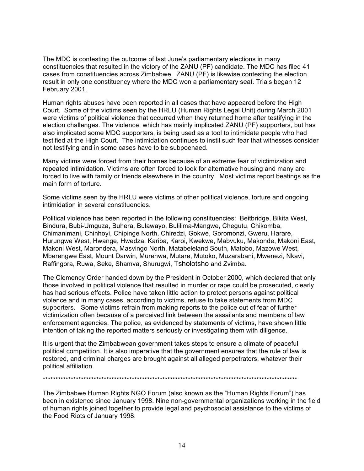The MDC is contesting the outcome of last June's parliamentary elections in many constituencies that resulted in the victory of the ZANU (PF) candidate. The MDC has filed 41 cases from constituencies across Zimbabwe. ZANU (PF) is likewise contesting the election result in only one constituency where the MDC won a parliamentary seat. Trials began 12 February 2001.

Human rights abuses have been reported in all cases that have appeared before the High Court. Some of the victims seen by the HRLU (Human Rights Legal Unit) during March 2001 were victims of political violence that occurred when they returned home after testifying in the election challenges. The violence, which has mainly implicated ZANU (PF) supporters, but has also implicated some MDC supporters, is being used as a tool to intimidate people who had testified at the High Court. The intimidation continues to instil such fear that witnesses consider not testifying and in some cases have to be subpoenaed.

Many victims were forced from their homes because of an extreme fear of victimization and repeated intimidation. Victims are often forced to look for alternative housing and many are forced to live with family or friends elsewhere in the country. Most victims report beatings as the main form of torture.

Some victims seen by the HRLU were victims of other political violence, torture and ongoing intimidation in several constituencies.

Political violence has been reported in the following constituencies: Beitbridge, Bikita West, Bindura, Bubi-Umguza, Buhera, Bulawayo, Bulilima-Mangwe, Chegutu, Chikomba, Chimanimani, Chinhoyi, Chipinge North, Chiredzi, Gokwe, Goromonzi, Gweru, Harare, Hurungwe West, Hwange, Hwedza, Kariba, Karoi, Kwekwe, Mabvuku, Makonde, Makoni East, Makoni West, Marondera, Masvingo North, Matabeleland South, Matobo, Mazowe West, Mberengwe East, Mount Darwin, Murehwa, Mutare, Mutoko, Muzarabani, Mwenezi, Nkavi, Raffingora, Ruwa, Seke, Shamva, Shurugwi, Tsholotsho and Zvimba.

The Clemency Order handed down by the President in October 2000, which declared that only those involved in political violence that resulted in murder or rape could be prosecuted, clearly has had serious effects. Police have taken little action to protect persons against political violence and in many cases, according to victims, refuse to take statements from MDC supporters. Some victims refrain from making reports to the police out of fear of further victimization often because of a perceived link between the assailants and members of law enforcement agencies. The police, as evidenced by statements of victims, have shown little intention of taking the reported matters seriously or investigating them with diligence.

It is urgent that the Zimbabwean government takes steps to ensure a climate of peaceful political competition. It is also imperative that the government ensures that the rule of law is restored, and criminal charges are brought against all alleged perpetrators, whatever their political affiliation.

#### \*\*\*\*\*\*\*\*\*\*\*\*\*\*\*\*\*\*\*\*\*\*\*\*\*\*\*\*\*\*\*\*\*\*\*\*\*\*\*\*\*\*\*\*\*\*\*\*\*\*\*\*\*\*\*\*\*\*\*\*\*\*\*\*\*\*\*\*\*\*\*\*\*\*\*\*\*\*\*\*\*\*\*\*\*\*\*\*\*\*\*\*\*\*\*\*\*\*\*\*

The Zimbabwe Human Rights NGO Forum (also known as the "Human Rights Forum") has been in existence since January 1998. Nine non-governmental organizations working in the field of human rights joined together to provide legal and psychosocial assistance to the victims of the Food Riots of January 1998.